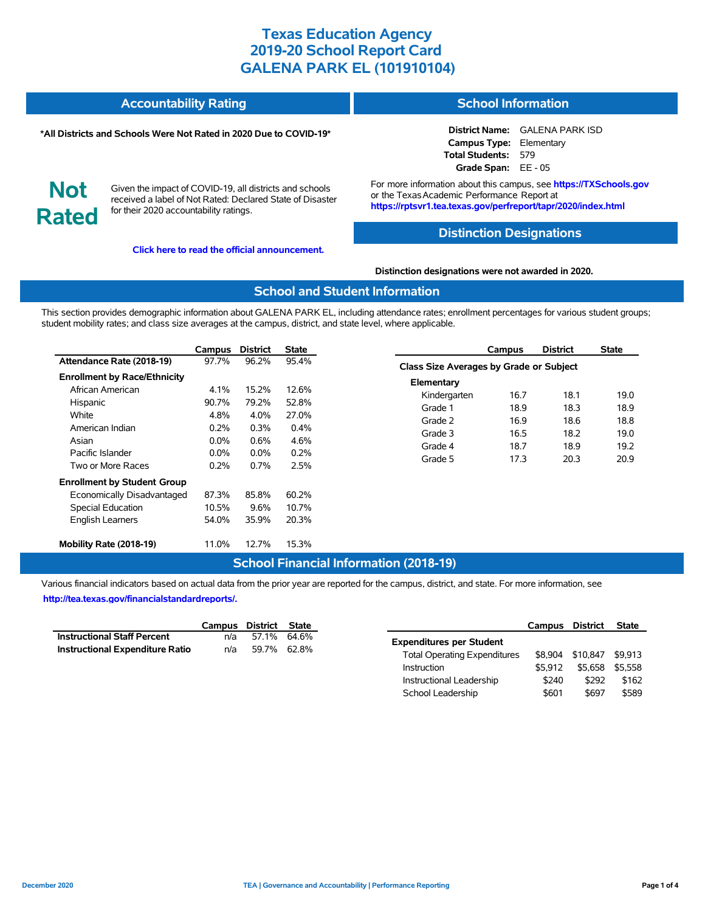#### **Accountability Rating School Information**

#### **\*All Districts and Schools Were Not Rated in 2020 Due to COVID-19\***

**District Name:** GALENA PARK ISD **Campus Type:** Elementary **Total Students:** 579 **Grade Span:** EE - 05

**Not Rated**

Given the impact of COVID-19, all districts and schools received a label of Not Rated: Declared State of Disaster for their 2020 accountability ratings.

**[Click here to read the official announcement.](https://tea.texas.gov/about-tea/news-and-multimedia/correspondence/taa-letters/every-student-succeeds-act-essa-waiver-approval-2020-state-academic-accountability)**

For more information about this campus, see **https://TXSchools.gov** or the Texas Academic Performance Report at **https://rptsvr1.tea.texas.gov/perfreport/tapr/2020/index.html**

### **Distinction Designations**

#### **Distinction designations were not awarded in 2020.**

#### **School and Student Information**

This section provides demographic information about GALENA PARK EL, including attendance rates; enrollment percentages for various student groups; student mobility rates; and class size averages at the campus, district, and state level, where applicable.

|                                     | Campus  | <b>District</b> | State   |
|-------------------------------------|---------|-----------------|---------|
| Attendance Rate (2018-19)           | 97.7%   | 96.2%           | 95.4%   |
| <b>Enrollment by Race/Ethnicity</b> |         |                 |         |
| African American                    | 4.1%    | 15.2%           | 12.6%   |
| Hispanic                            | 90.7%   | 79.2%           | 52.8%   |
| White                               | 4.8%    | $4.0\%$         | 27.0%   |
| American Indian                     | $0.2\%$ | $0.3\%$         | $0.4\%$ |
| Asian                               | $0.0\%$ | $0.6\%$         | 4.6%    |
| Pacific Islander                    | $0.0\%$ | $0.0\%$         | 0.2%    |
| Two or More Races                   | 0.2%    | $0.7\%$         | 2.5%    |
| <b>Enrollment by Student Group</b>  |         |                 |         |
| Economically Disadvantaged          | 87.3%   | 85.8%           | 60.2%   |
| Special Education                   | 10.5%   | 9.6%            | 10.7%   |
| <b>English Learners</b>             | 54.0%   | 35.9%           | 20.3%   |
| Mobility Rate (2018-19)             | 11.0%   | 12.7%           | 15.3%   |

| Campus                                         | <b>District</b> | <b>State</b> |  |  |  |  |  |  |  |
|------------------------------------------------|-----------------|--------------|--|--|--|--|--|--|--|
| <b>Class Size Averages by Grade or Subject</b> |                 |              |  |  |  |  |  |  |  |
|                                                |                 |              |  |  |  |  |  |  |  |
| 16.7                                           | 18.1            | 19.0         |  |  |  |  |  |  |  |
| 18.9                                           | 18.3            | 18.9         |  |  |  |  |  |  |  |
| 16.9                                           | 18.6            | 18.8         |  |  |  |  |  |  |  |
| 16.5                                           | 18.2            | 19.0         |  |  |  |  |  |  |  |
| 18.7                                           | 18.9            | 19.2         |  |  |  |  |  |  |  |
| 17.3                                           | 20.3            | 20.9         |  |  |  |  |  |  |  |
|                                                |                 |              |  |  |  |  |  |  |  |

## **School Financial Information (2018-19)**

Various financial indicators based on actual data from the prior year are reported for the campus, district, and state. For more information, see **[http://tea.texas.gov/financialstandardreports/.](http://tea.texas.gov/financialstandardreports/)**

|                                        | Campus District State |             |  |
|----------------------------------------|-----------------------|-------------|--|
| <b>Instructional Staff Percent</b>     | n/a                   | 57.1% 64.6% |  |
| <b>Instructional Expenditure Ratio</b> | n/a                   | 59.7% 62.8% |  |

|                                     | Campus District |          | <b>State</b> |
|-------------------------------------|-----------------|----------|--------------|
| <b>Expenditures per Student</b>     |                 |          |              |
| <b>Total Operating Expenditures</b> | \$8.904         | \$10,847 | \$9.913      |
| Instruction                         | \$5.912         | \$5.658  | \$5.558      |
| Instructional Leadership            | \$240           | \$292    | \$162        |
| School Leadership                   | \$601           | \$697    | \$589        |

Ĭ.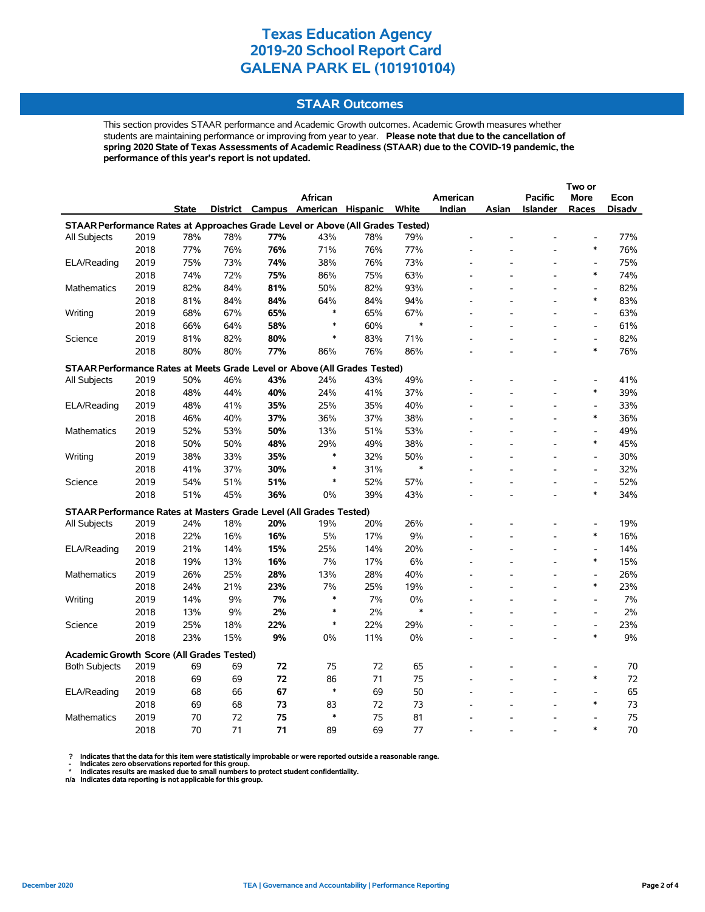### **STAAR Outcomes**

This section provides STAAR performance and Academic Growth outcomes. Academic Growth measures whether students are maintaining performance or improving from year to year. **Please note that due to the cancellation of spring 2020 State of Texas Assessments of Academic Readiness (STAAR) due to the COVID-19 pandemic, the performance of this year's report is not updated.**

|                                                                                |              |              |           |            |              |                                   |           |          |                |                 | Two or                             |               |
|--------------------------------------------------------------------------------|--------------|--------------|-----------|------------|--------------|-----------------------------------|-----------|----------|----------------|-----------------|------------------------------------|---------------|
|                                                                                |              |              |           |            | African      |                                   |           | American |                | <b>Pacific</b>  | <b>More</b>                        | Econ          |
|                                                                                |              | <b>State</b> |           |            |              | District Campus American Hispanic | White     | Indian   | Asian          | <b>Islander</b> | Races                              | <b>Disadv</b> |
| STAAR Performance Rates at Approaches Grade Level or Above (All Grades Tested) |              |              |           |            |              |                                   |           |          |                |                 |                                    |               |
| All Subjects                                                                   | 2019         | 78%          | 78%       | 77%        | 43%          | 78%                               | 79%       |          |                |                 |                                    | 77%           |
|                                                                                | 2018         | 77%          | 76%       | 76%        | 71%          | 76%                               | 77%       |          |                |                 | $\ast$                             | 76%           |
| ELA/Reading                                                                    | 2019         | 75%          | 73%       | 74%        | 38%          | 76%                               | 73%       |          |                |                 |                                    | 75%           |
|                                                                                | 2018         | 74%          | 72%       | 75%        | 86%          | 75%                               | 63%       |          |                |                 | $\ast$                             | 74%           |
| <b>Mathematics</b>                                                             | 2019         | 82%          | 84%       | 81%        | 50%          | 82%                               | 93%       |          |                |                 | $\qquad \qquad \blacksquare$       | 82%           |
|                                                                                | 2018         | 81%          | 84%       | 84%        | 64%          | 84%                               | 94%       |          |                |                 | $\ast$                             | 83%           |
| Writing                                                                        | 2019         | 68%          | 67%       | 65%        | $\ast$       | 65%                               | 67%       |          |                |                 | $\overline{a}$                     | 63%           |
|                                                                                | 2018         | 66%          | 64%       | 58%        | $\ast$       | 60%                               | $\ast$    |          |                |                 | $\overline{a}$                     | 61%           |
| Science                                                                        | 2019         | 81%          | 82%       | 80%        | *            | 83%                               | 71%       |          |                |                 | $\qquad \qquad \blacksquare$       | 82%           |
|                                                                                | 2018         | 80%          | 80%       | 77%        | 86%          | 76%                               | 86%       |          |                |                 | $\ast$                             | 76%           |
| STAAR Performance Rates at Meets Grade Level or Above (All Grades Tested)      |              |              |           |            |              |                                   |           |          |                |                 |                                    |               |
| All Subjects                                                                   | 2019         | 50%          | 46%       | 43%        | 24%          | 43%                               | 49%       |          |                |                 |                                    | 41%           |
|                                                                                | 2018         | 48%          | 44%       | 40%        | 24%          | 41%                               | 37%       |          |                |                 | $\ast$                             | 39%           |
| ELA/Reading                                                                    | 2019         | 48%          | 41%       | 35%        | 25%          | 35%                               | 40%       |          |                |                 | $\overline{\phantom{a}}$           | 33%           |
|                                                                                | 2018         | 46%          | 40%       | 37%        | 36%          | 37%                               | 38%       |          |                |                 | $\ast$                             | 36%           |
| Mathematics                                                                    | 2019         | 52%          | 53%       | 50%        | 13%          | 51%                               | 53%       |          |                |                 |                                    | 49%           |
|                                                                                | 2018         | 50%          | 50%       | 48%        | 29%          | 49%                               | 38%       |          |                |                 | $\ast$                             | 45%           |
| Writing                                                                        | 2019         | 38%          | 33%       | 35%        | $\ast$       | 32%                               | 50%       |          |                |                 | $\overline{\phantom{a}}$           | 30%           |
|                                                                                | 2018         | 41%          | 37%       | 30%        | $\ast$       | 31%                               | $\ast$    |          |                |                 | $\overline{\phantom{a}}$           | 32%           |
| Science                                                                        | 2019         | 54%          | 51%       | 51%        | $\ast$       | 52%                               | 57%       |          |                |                 | $\overline{a}$                     | 52%           |
|                                                                                | 2018         | 51%          | 45%       | 36%        | 0%           | 39%                               | 43%       |          |                |                 | $\ast$                             | 34%           |
|                                                                                |              |              |           |            |              |                                   |           |          |                |                 |                                    |               |
| STAAR Performance Rates at Masters Grade Level (All Grades Tested)             |              |              |           |            |              |                                   |           |          |                |                 |                                    |               |
| All Subjects                                                                   | 2019<br>2018 | 24%          | 18%       | 20%<br>16% | 19%<br>5%    | 20%                               | 26%       |          |                |                 | $\overline{a}$<br>$\ast$           | 19%<br>16%    |
|                                                                                |              | 22%          | 16%       |            |              | 17%                               | 9%        |          |                |                 | $\overline{a}$                     |               |
| ELA/Reading                                                                    | 2019         | 21%          | 14%       | 15%        | 25%          | 14%                               | 20%       |          |                |                 | $\ast$                             | 14%           |
|                                                                                | 2018         | 19%          | 13%       | 16%        | 7%           | 17%                               | 6%        |          |                |                 |                                    | 15%           |
| <b>Mathematics</b>                                                             | 2019         | 26%          | 25%       | 28%        | 13%          | 28%                               | 40%       |          |                |                 | $\overline{a}$<br>$\ast$           | 26%           |
|                                                                                | 2018<br>2019 | 24%          | 21%<br>9% | 23%<br>7%  | 7%<br>$\ast$ | 25%                               | 19%<br>0% |          |                |                 | $\overline{a}$                     | 23%<br>7%     |
| Writing                                                                        |              | 14%          |           |            | $\ast$       | 7%                                | $\ast$    |          |                |                 |                                    |               |
|                                                                                | 2018         | 13%          | 9%        | 2%         | $\ast$       | 2%                                |           |          |                |                 | $\overline{a}$                     | 2%            |
| Science                                                                        | 2019         | 25%          | 18%       | 22%        |              | 22%                               | 29%       |          |                |                 | $\overline{\phantom{a}}$<br>$\ast$ | 23%<br>9%     |
|                                                                                | 2018         | 23%          | 15%       | 9%         | 0%           | 11%                               | 0%        |          | $\overline{a}$ | $\overline{a}$  |                                    |               |
| <b>Academic Growth Score (All Grades Tested)</b>                               |              |              |           |            |              |                                   |           |          |                |                 |                                    |               |
| <b>Both Subjects</b>                                                           | 2019         | 69           | 69        | 72         | 75           | 72                                | 65        |          |                |                 |                                    | 70            |
|                                                                                | 2018         | 69           | 69        | 72         | 86           | 71                                | 75        |          |                |                 | $\ast$                             | 72            |
| ELA/Reading                                                                    | 2019         | 68           | 66        | 67         | $\ast$       | 69                                | 50        |          |                |                 |                                    | 65            |
|                                                                                | 2018         | 69           | 68        | 73         | 83           | 72                                | 73        |          |                |                 | $\ast$                             | 73            |
| <b>Mathematics</b>                                                             | 2019         | 70           | 72        | 75         | $\ast$       | 75                                | 81        |          |                |                 |                                    | 75            |
|                                                                                | 2018         | 70           | 71        | 71         | 89           | 69                                | 77        |          |                |                 | $\ast$                             | 70            |

? Indicates that the data for this item were statistically improbable or were reported outside a reasonable range.<br>- Indicates zero observations reported for this group.<br>\* Indicates results are masked due to small numbers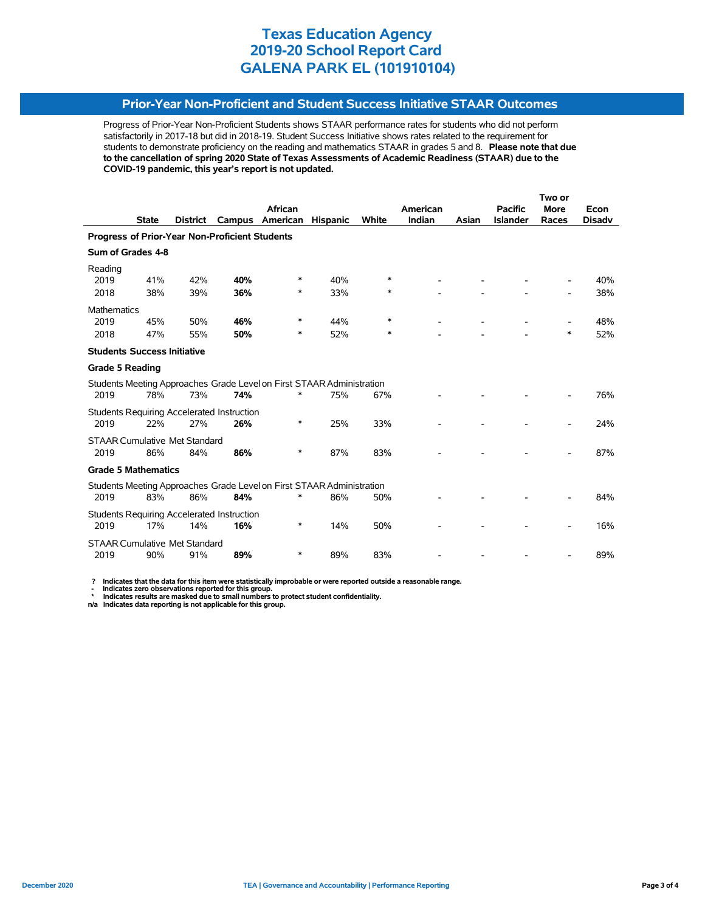### **Prior-Year Non-Proficient and Student Success Initiative STAAR Outcomes**

Progress of Prior-Year Non-Proficient Students shows STAAR performance rates for students who did not perform satisfactorily in 2017-18 but did in 2018-19. Student Success Initiative shows rates related to the requirement for students to demonstrate proficiency on the reading and mathematics STAAR in grades 5 and 8. **Please note that due to the cancellation of spring 2020 State of Texas Assessments of Academic Readiness (STAAR) due to the COVID-19 pandemic, this year's report is not updated.**

|                                      |              |                 |                                                       |                                                                       |                 |        |          | Two or |                 |             |               |
|--------------------------------------|--------------|-----------------|-------------------------------------------------------|-----------------------------------------------------------------------|-----------------|--------|----------|--------|-----------------|-------------|---------------|
|                                      |              |                 |                                                       | African                                                               |                 |        | American |        | <b>Pacific</b>  | <b>More</b> | Econ          |
|                                      | <b>State</b> | <b>District</b> | Campus                                                | American                                                              | <b>Hispanic</b> | White  | Indian   | Asian  | <b>Islander</b> | Races       | <b>Disadv</b> |
|                                      |              |                 | <b>Progress of Prior-Year Non-Proficient Students</b> |                                                                       |                 |        |          |        |                 |             |               |
| Sum of Grades 4-8                    |              |                 |                                                       |                                                                       |                 |        |          |        |                 |             |               |
| Reading                              |              |                 |                                                       |                                                                       |                 |        |          |        |                 |             |               |
| 2019                                 | 41%          | 42%             | 40%                                                   | ∗                                                                     | 40%             | $\ast$ |          |        |                 |             | 40%           |
| 2018                                 | 38%          | 39%             | 36%                                                   | *                                                                     | 33%             | $\ast$ |          |        |                 |             | 38%           |
| <b>Mathematics</b>                   |              |                 |                                                       |                                                                       |                 |        |          |        |                 |             |               |
| 2019                                 | 45%          | 50%             | 46%                                                   | ∗                                                                     | 44%             | $\ast$ |          |        |                 |             | 48%           |
| 2018                                 | 47%          | 55%             | 50%                                                   | ∗                                                                     | 52%             | ∗      |          |        |                 | $\ast$      | 52%           |
| <b>Students Success Initiative</b>   |              |                 |                                                       |                                                                       |                 |        |          |        |                 |             |               |
| <b>Grade 5 Reading</b>               |              |                 |                                                       |                                                                       |                 |        |          |        |                 |             |               |
|                                      |              |                 |                                                       | Students Meeting Approaches Grade Level on First STAAR Administration |                 |        |          |        |                 |             |               |
| 2019                                 | 78%          | 73%             | 74%                                                   | *                                                                     | 75%             | 67%    |          |        |                 |             | 76%           |
|                                      |              |                 | Students Requiring Accelerated Instruction            |                                                                       |                 |        |          |        |                 |             |               |
| 2019                                 | 22%          | 27%             | 26%                                                   | *                                                                     | 25%             | 33%    |          |        |                 |             | 24%           |
| <b>STAAR Cumulative Met Standard</b> |              |                 |                                                       |                                                                       |                 |        |          |        |                 |             |               |
| 2019                                 | 86%          | 84%             | 86%                                                   | *                                                                     | 87%             | 83%    |          |        |                 |             | 87%           |
| <b>Grade 5 Mathematics</b>           |              |                 |                                                       |                                                                       |                 |        |          |        |                 |             |               |
|                                      |              |                 |                                                       | Students Meeting Approaches Grade Level on First STAAR Administration |                 |        |          |        |                 |             |               |
| 2019                                 | 83%          | 86%             | 84%                                                   |                                                                       | 86%             | 50%    |          |        |                 |             | 84%           |
|                                      |              |                 | Students Requiring Accelerated Instruction            |                                                                       |                 |        |          |        |                 |             |               |
| 2019                                 | 17%          | 14%             | 16%                                                   | $\ast$                                                                | 14%             | 50%    |          |        |                 |             | 16%           |
| <b>STAAR Cumulative Met Standard</b> |              |                 |                                                       |                                                                       |                 |        |          |        |                 |             |               |
| 2019                                 | 90%          | 91%             | 89%                                                   | *                                                                     | 89%             | 83%    |          |        |                 |             | 89%           |
|                                      |              |                 |                                                       |                                                                       |                 |        |          |        |                 |             |               |

 **? Indicates that the data for this item were statistically improbable or were reported outside a reasonable range.**

 **- Indicates zero observations reported for this group. \* Indicates results are masked due to small numbers to protect student confidentiality.**

**n/a Indicates data reporting is not applicable for this group.**